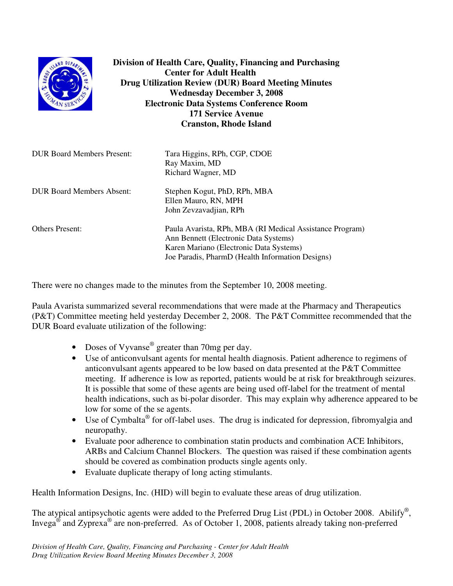| SLAND DEPAA                       | Division of Health Care, Quality, Financing and Purchasing<br><b>Center for Adult Health</b><br><b>Drug Utilization Review (DUR) Board Meeting Minutes</b><br><b>Wednesday December 3, 2008</b><br><b>Electronic Data Systems Conference Room</b><br><b>171 Service Avenue</b><br><b>Cranston, Rhode Island</b> |
|-----------------------------------|-----------------------------------------------------------------------------------------------------------------------------------------------------------------------------------------------------------------------------------------------------------------------------------------------------------------|
| <b>DUR Board Members Present:</b> | Tara Higgins, RPh, CGP, CDOE<br>Ray Maxim, MD<br>Richard Wagner, MD                                                                                                                                                                                                                                             |
| <b>DUR Board Members Absent:</b>  | Stephen Kogut, PhD, RPh, MBA<br>Ellen Mauro, RN, MPH<br>John Zevzavadjian, RPh                                                                                                                                                                                                                                  |
| <b>Others Present:</b>            | Paula Avarista, RPh, MBA (RI Medical Assistance Program)<br>Ann Bennett (Electronic Data Systems)<br>Karen Mariano (Electronic Data Systems)<br>Joe Paradis, PharmD (Health Information Designs)                                                                                                                |

There were no changes made to the minutes from the September 10, 2008 meeting.

Paula Avarista summarized several recommendations that were made at the Pharmacy and Therapeutics (P&T) Committee meeting held yesterday December 2, 2008. The P&T Committee recommended that the DUR Board evaluate utilization of the following:

- Doses of Vyvanse<sup>®</sup> greater than 70mg per day.
- Use of anticonvulsant agents for mental health diagnosis. Patient adherence to regimens of anticonvulsant agents appeared to be low based on data presented at the P&T Committee meeting. If adherence is low as reported, patients would be at risk for breakthrough seizures. It is possible that some of these agents are being used off-label for the treatment of mental health indications, such as bi-polar disorder. This may explain why adherence appeared to be low for some of the se agents.
- Use of Cymbalta<sup>®</sup> for off-label uses. The drug is indicated for depression, fibromyalgia and neuropathy.
- Evaluate poor adherence to combination statin products and combination ACE Inhibitors, ARBs and Calcium Channel Blockers. The question was raised if these combination agents should be covered as combination products single agents only.
- Evaluate duplicate therapy of long acting stimulants.

Health Information Designs, Inc. (HID) will begin to evaluate these areas of drug utilization.

The atypical antipsychotic agents were added to the Preferred Drug List (PDL) in October 2008. Abilify<sup>®</sup>, Invega<sup>®</sup> and Zyprexa<sup>®</sup> are non-preferred. As of October 1, 2008, patients already taking non-preferred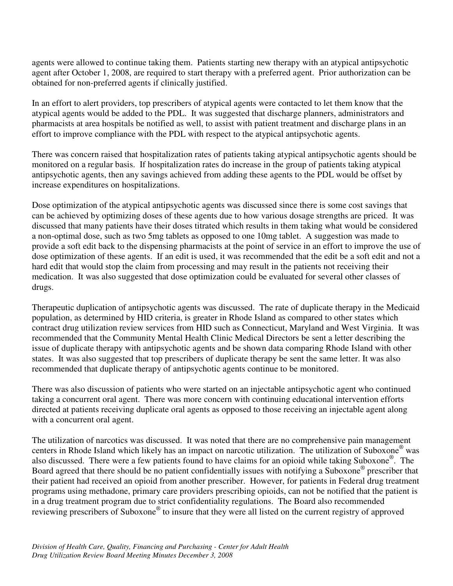agents were allowed to continue taking them. Patients starting new therapy with an atypical antipsychotic agent after October 1, 2008, are required to start therapy with a preferred agent. Prior authorization can be obtained for non-preferred agents if clinically justified.

In an effort to alert providers, top prescribers of atypical agents were contacted to let them know that the atypical agents would be added to the PDL. It was suggested that discharge planners, administrators and pharmacists at area hospitals be notified as well, to assist with patient treatment and discharge plans in an effort to improve compliance with the PDL with respect to the atypical antipsychotic agents.

There was concern raised that hospitalization rates of patients taking atypical antipsychotic agents should be monitored on a regular basis. If hospitalization rates do increase in the group of patients taking atypical antipsychotic agents, then any savings achieved from adding these agents to the PDL would be offset by increase expenditures on hospitalizations.

Dose optimization of the atypical antipsychotic agents was discussed since there is some cost savings that can be achieved by optimizing doses of these agents due to how various dosage strengths are priced. It was discussed that many patients have their doses titrated which results in them taking what would be considered a non-optimal dose, such as two 5mg tablets as opposed to one 10mg tablet. A suggestion was made to provide a soft edit back to the dispensing pharmacists at the point of service in an effort to improve the use of dose optimization of these agents. If an edit is used, it was recommended that the edit be a soft edit and not a hard edit that would stop the claim from processing and may result in the patients not receiving their medication. It was also suggested that dose optimization could be evaluated for several other classes of drugs.

Therapeutic duplication of antipsychotic agents was discussed. The rate of duplicate therapy in the Medicaid population, as determined by HID criteria, is greater in Rhode Island as compared to other states which contract drug utilization review services from HID such as Connecticut, Maryland and West Virginia. It was recommended that the Community Mental Health Clinic Medical Directors be sent a letter describing the issue of duplicate therapy with antipsychotic agents and be shown data comparing Rhode Island with other states. It was also suggested that top prescribers of duplicate therapy be sent the same letter. It was also recommended that duplicate therapy of antipsychotic agents continue to be monitored.

There was also discussion of patients who were started on an injectable antipsychotic agent who continued taking a concurrent oral agent. There was more concern with continuing educational intervention efforts directed at patients receiving duplicate oral agents as opposed to those receiving an injectable agent along with a concurrent oral agent.

The utilization of narcotics was discussed. It was noted that there are no comprehensive pain management centers in Rhode Island which likely has an impact on narcotic utilization. The utilization of Suboxone ® was also discussed. There were a few patients found to have claims for an opioid while taking Suboxone®. The Board agreed that there should be no patient confidentially issues with notifying a Suboxone® prescriber that their patient had received an opioid from another prescriber. However, for patients in Federal drug treatment programs using methadone, primary care providers prescribing opioids, can not be notified that the patient is in a drug treatment program due to strict confidentiality regulations. The Board also recommended reviewing prescribers of Suboxone® to insure that they were all listed on the current registry of approved